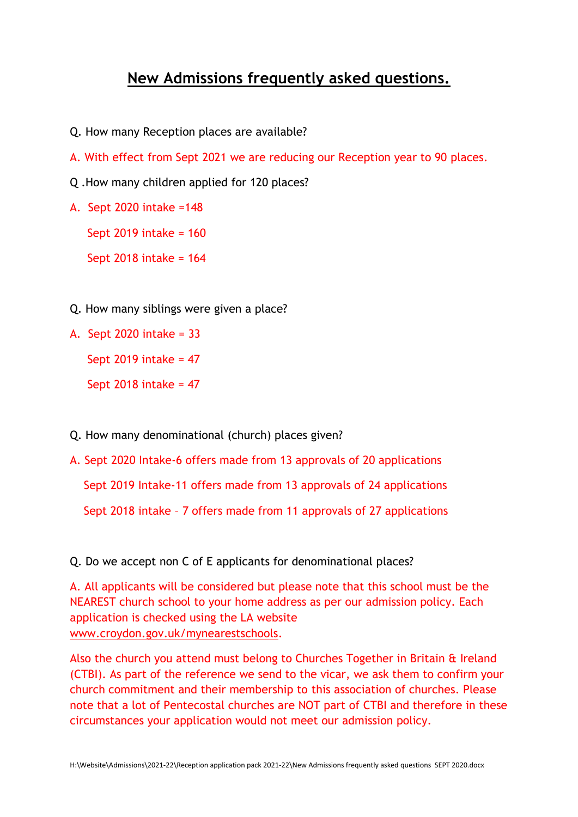## **New Admissions frequently asked questions.**

- Q. How many Reception places are available?
- A. With effect from Sept 2021 we are reducing our Reception year to 90 places.
- Q .How many children applied for 120 places?
- A. Sept 2020 intake =148

Sept 2019 intake = 160

Sept 2018 intake = 164

- Q. How many siblings were given a place?
- A. Sept 2020 intake = 33

Sept 2019 intake =  $47$ 

Sept 2018 intake = 47

- Q. How many denominational (church) places given?
- A. Sept 2020 Intake-6 offers made from 13 approvals of 20 applications Sept 2019 Intake-11 offers made from 13 approvals of 24 applications Sept 2018 intake – 7 offers made from 11 approvals of 27 applications

Q. Do we accept non C of E applicants for denominational places?

A. All applicants will be considered but please note that this school must be the NEAREST church school to your home address as per our admission policy. Each application is checked using the LA website [www.croydon.gov.uk/mynearestschools.](http://www.croydon.gov.uk/mynearestschools)

Also the church you attend must belong to Churches Together in Britain & Ireland (CTBI). As part of the reference we send to the vicar, we ask them to confirm your church commitment and their membership to this association of churches. Please note that a lot of Pentecostal churches are NOT part of CTBI and therefore in these circumstances your application would not meet our admission policy.